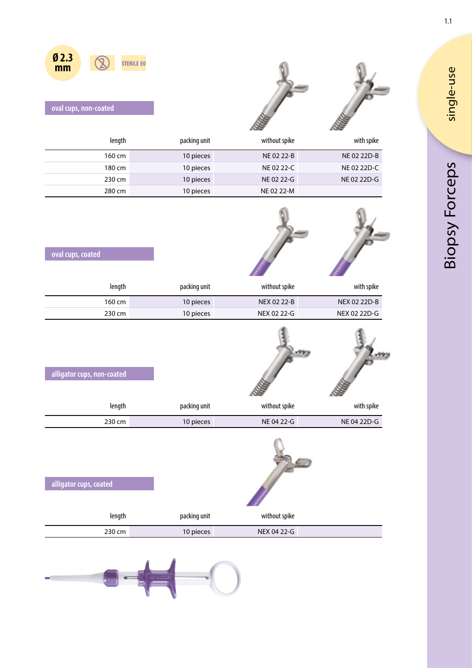

|  | oval cups, non-coated |
|--|-----------------------|
|  |                       |

**Ø 2.3 mm**

| length | packing unit | without spike | with spike  |
|--------|--------------|---------------|-------------|
| 160 cm | 10 pieces    | NE 02 22-B    | NE 02 22D-B |
| 180 cm | 10 pieces    | NE 02 22-C    | NE 02 22D-C |
| 230 cm | 10 pieces    | NE 02 22-G    | NE 02 22D-G |
| 280 cm | 10 pieces    | NE 02 22-M    |             |

| oval cups, coated          |              |               |              |
|----------------------------|--------------|---------------|--------------|
| length                     | packing unit | without spike | with spike   |
| 160 cm                     | 10 pieces    | NEX 02 22-B   | NEX 02 22D-B |
| 230 cm                     | 10 pieces    | NEX 02 22-G   | NEX 02 22D-G |
| alligator cups, non-coated |              |               |              |

| with spike  | without spike | packing unit | length |
|-------------|---------------|--------------|--------|
| NE 04 22D-G | NE 04 22-G    | 10 pieces    | 230 cm |

| alligator cups, coated |              |               |
|------------------------|--------------|---------------|
| length                 | packing unit | without spike |
| 230 cm                 | 10 pieces    | NEX 04 22-G   |



single-use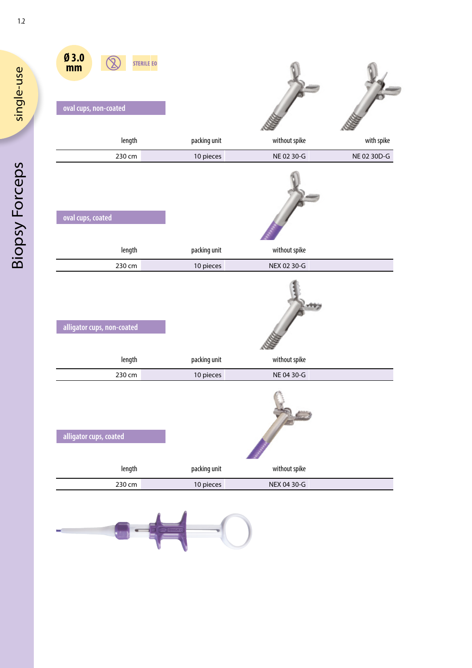| Ø3.0<br><b>STERILE EO</b><br>mm<br>oval cups, non-coated |              |               |             |
|----------------------------------------------------------|--------------|---------------|-------------|
| length                                                   | packing unit | without spike | with spike  |
| 230 cm                                                   | 10 pieces    | NE 02 30-G    | NE 02 30D-G |
| oval cups, coated                                        |              |               |             |
| length                                                   | packing unit | without spike |             |
| 230 cm                                                   | 10 pieces    | NEX 02 30-G   |             |
| alligator cups, non-coated                               |              |               |             |
| length                                                   | packing unit | without spike |             |
| 230 cm                                                   | 10 pieces    | NE 04 30-G    |             |
| alligator cups, coated                                   |              |               |             |
| length                                                   | packing unit | without spike |             |
| 230 cm                                                   | 10 pieces    | NEX 04 30-G   |             |



1.2